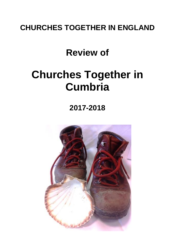## **CHURCHES TOGETHER IN ENGLAND**

## **Review of**

# **Churches Together in Cumbria**

## **2017-2018**

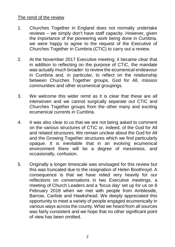#### The remit of the review

- 1. Churches Together in England does not normally undertake reviews – we simply don't have staff capacity. However, given the importance of the pioneering work being done in Cumbria, we were happy to agree to the request of the Executive of Churches Together in Cumbria (CTiC) to carry out a review.
- 2. At the November 2017 Executive meeting, it became clear that in addition to reflecting on the purpose of CTiC, the mandate was actually much broader: to review the ecumenical endeavour in Cumbria and, in particular, to reflect on the relationship between Churches Together groups, God for All, mission communities and other ecumenical groupings.
- 3. We welcome this wider remit as it is clear that these are all interwoven and we cannot surgically separate out CTiC and Churches Together groups from the other many and exciting ecumenical currents in Cumbria.
- 4. It was also clear to us that we are not being asked to comment on the various structures of CTiC or, indeed, of the God for All and related structures. We remain unclear about the God for All and the Growing Together structures which we find particularly opaque. It is inevitable that in an evolving ecumenical environment there will be a degree of messiness, and occasionally, confusion.
- 5. Originally a longer timescale was envisaged for this review but this was truncated due to the resignation of Helen Boothroyd. A consequence is that we have relied very heavily for our reflections on conversations in two Executive meetings, a meeting of Church Leaders and a 'focus day' set up for us on 8 February 2018 when we met with people from Ambleside, Barrow, Carlisle and Hawkshead. We deeply appreciated this opportunity to meet a variety of people engaged ecumenically in various ways across the county. What we heard from all sources was fairly consistent and we hope that no other significant point of view has been omitted.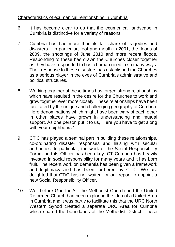#### Characteristics of ecumenical relationships in Cumbria

- 6. It has become clear to us that the ecumenical landscape in Cumbria is distinctive for a variety of reasons.
- 7. Cumbria has had more than its fair share of tragedies and disasters – in particular, foot and mouth in 2001, the floods of 2009, the shootings of June 2010 and more recent floods. Responding to these has drawn the Churches closer together as they have responded to basic human need in so many ways. Their response to these disasters has established the Churches as a serious player in the eyes of Cumbria's administrative and political structures.
- 8. Working together at these times has forged strong relationships which have resulted in the desire for the Churches to work and grow together ever more closely. These relationships have been facilitated by the unique and challenging geography of Cumbria. Here denominations which might have been wary of each other in other places have grown in understanding and mutual support. As one person put it to us, 'Here you have to get along with your neighbours.'
- 9. CTiC has played a seminal part in building these relationships, co-ordinating disaster responses and liaising with secular authorities. In particular, the work of the Social Responsibility Forum and its Officer has been key. CT Cumbria has heavily invested in social responsibility for many years and it has born fruit. The recent work on dementia has been given a framework and legitimacy and has been furthered by CTiC. We are delighted that CTiC has not waited for our report to appoint a new Social Responsibility Officer.
- 10. Well before God for All, the Methodist Church and the United Reformed Church had been exploring the idea of a United Area in Cumbria and it was partly to facilitate this that the URC North Western Synod created a separate URC Area for Cumbria which shared the boundaries of the Methodist District. These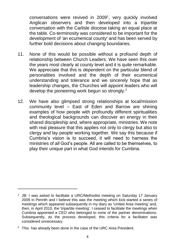conversations were revived in 2009<sup>1</sup>, very quickly involved Anglican observers and then developed into a tripartite conversation with the Carlisle diocese taking an equal place at the table. Co-terminosity was considered to be important for the development of 'an ecumenical county' and has been served by further bold decisions about changing boundaries.

- 11. None of this would be possible without a profound depth of relationship between Church Leaders. We have seen this over the years most clearly at county level and it is quite remarkable. We appreciate that this is dependent on the particular blend of personalities involved and the depth of their ecumenical understanding and tolerance and we sincerely hope that as leadership changes, the Churches will appoint leaders who will develop the pioneering work begun so strongly.<sup>2</sup>
- 12. We have also glimpsed strong relationships at local/mission community level – East of Eden and Barrow are shining examples of how people with profoundly different spiritualities and theological backgrounds can discover an energy in their shared discipleship and, where appropriate, ministries. We note with real pleasure that this applies not only to clergy but also to clergy and lay people working together. We say this because if Cumbria's vision is to succeed, it will need to harness the ministries of *all* God's people. All are called to be themselves, to play their unique part in what God intends for Cumbria.

<sup>&</sup>lt;sup>1</sup> JB: I was asked to facilitate a URC/Methodist meeting on Saturday 17 January 2009 in Penrith and I believe this was the meeting which kick-started a series of meetings which appeared subsequently in my diary as 'United Area meeting' and, then, in April 2010, the 'tripartite meeting'. I ceased to facilitate the meetings when Cumbria appointed a CEO who belonged to none of the partner denominations. Subsequently, as the process developed, this criteria for a facilitator was considered unnecessary.

 $2$  This has already been done in the case of the URC Area President.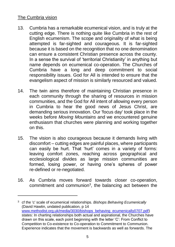#### The Cumbria vision

- 13. Cumbria has a remarkable ecumenical vision, and is truly at the cutting edge. There is nothing quite like Cumbria in the rest of English ecumenism. The scope and originality of what is being attempted is far-sighted and courageous. It is far-sighted because it is based on the recognition that no one denomination can ensure a consistent Christian presence across the county. In a sense the survival of 'territorial Christianity' in anything but name depends on ecumenical co-operation. The Churches of Cumbria have a long and deep commitment to social responsibility issues. God for All is intended to ensure that the evangelism aspect of mission is similarly resourced and valued.
- 14. The twin aims therefore of maintaining Christian presence in each community through the sharing of resources in mission communities, and the God for All intent of allowing every person in Cumbria to hear the good news of Jesus Christ, are demanding serious innovation. Our 'focus day' took place in the weeks before *Moving Mountains* and we encountered genuine enthusiasm that churches were planning and working together on this.
- 15. The vision is also courageous because it demands living with discomfort – cutting edges are painful places, where participants can easily be hurt. That 'hurt' comes in a variety of forms: leaving comfort zones, reaching across geographical and ecclesiological divides as large mission communities are formed, losing power, or having one's spheres of power re-defined or re-negotiated.
- 16. As Cumbria moves forward towards closer co-operation, commitment and communion<sup>3</sup>, the balancing act between the

<sup>3</sup> cf the 'c' scale of ecumenical relationships. *Bishops Behaving Ecumenically* (David Hawtin, undated publication, p 14 [www.methodist.org.uk/media/3030/bishops\\_behaving\\_ecumenically0707.pdf\)](http://www.methodist.org.uk/media/3030/bishops_behaving_ecumenically0707.pdf) states: In charting relationships both actual and aspirational, the Churches have drawn on this scale, each point beginning with the letter 'C': From Conflict to Competition to Co-existence to Co-operation to Commitment to Communion. Experience indicates that the movement is backwards as well as forwards. The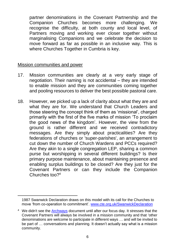partner denominations in the Covenant Partnership and the Companion Churches becomes more challenging. We recognise the difficulty, at both county and local level, of Partners moving and working ever closer together without marginalising Companions and we celebrate the decision to move forward as far as possible in an inclusive way. This is where Churches Together in Cumbria is key.

#### Mission communities and power

- 17. Mission communities are clearly at a very early stage of negotiation. Their naming is not accidental – they are intended to enable mission and they are communities coming together and pooling resources to deliver the best possible pastoral care.
- 18. However, we picked up a lack of clarity about what they are and what they are for. We understand that Church Leaders and those steering the concept think of them as 'missional', charged primarily with the first of the five marks of mission 'To proclaim the good news of the kingdom'. However, the view from the ground is rather different and we received contradictory messages. Are they simply about practicalities? Are they federations of churches or 'super-parishes', an arrangement to cut down the number of Church Wardens and PCCs required? Are they akin to a single congregation LEP, sharing a common purse but worshipping in several different buildings? Is their primary purpose maintenance, about maintaining presence and enabling surplus buildings to be closed? Are they just for the Covenant Partners or can they include the Companion Churches too?<sup>4</sup>

<sup>1987</sup> Swanwick Declaration draws on this model with its call for the Churches to move 'from co-operation to commitment'. [www.cte.org.uk/SwanwickDeclaration](http://www.cte.org.uk/SwanwickDeclaration)

<sup>4</sup> We didn't see the [Archways](https://www.godforall.org.uk/wp-content/uploads/2015/06/Establishing-Mission-Communities-Archways.pdf) document until after our focus day. It stresses that the Covenant Partners will always be involved in a mission community and that 'other denominations are welcome to participate in different ways … and will be invited to be part of … conversations and planning. It doesn't actually say what is a mission community.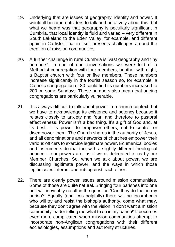- 19. Underlying that are issues of geography, identity and power. It would ill become outsiders to talk authoritatively about this, but what we heard was that geography is peculiarly significant in Cumbria, that local identity is fluid and varied – very different in South Lakeland to the Eden Valley, for example, and different again in Carlisle. That in itself presents challenges around the creation of mission communities.
- 20. A further challenge in rural Cumbria is 'vast geography and tiny numbers'. In one of our conversations we were told of a Methodist congregation with four members, another with eight, a Baptist church with four or five members. These numbers increase significantly in the tourist season so, for example, a Catholic congregation of 80 could find its numbers increased to 200 on some Sundays. These numbers also mean that ageing congregations are particularly vulnerable.
- 21. It is always difficult to talk about power in a church context, but we have to acknowledge its existence and potency because it relates closely to anxiety and fear, and therefore to pastoral effectiveness. Power isn't a bad thing. It's a gift of God and, at its best, it is power to empower others, not to control or disempower them. The Church shares in the authority of Jesus, and all denominations and networks of churches empower their various officers to exercise legitimate power. Ecumenical bodies and instruments do that too, with a slightly different theological nuance – our powers are, as it were, delegated to us by our Member Churches. So, when we talk about power, we are discussing legitimate power, and the ways in which those legitimacies interact and rub against each other.
- 22. There are clearly power issues around mission communities. Some of those are quite natural. Bringing four parishes into one unit will inevitably result in the question 'Can they do that in my parish?' Equally (and less helpfully) there will be incumbents who will try and resist the bishop's authority, come what may, because they don't agree with the vision: 'I don't want a mission community leader telling me what to do in my parish!' It becomes even more complicated when mission communities attempt to incorporate non-Anglican congregations with their different ecclesiologies, assumptions and authority structures.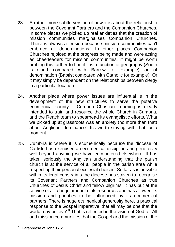- 23. A rather more subtle version of power is about the relationship between the Covenant Partners and the Companion Churches. In some places we picked up real anxieties that the creation of mission communities marginalises Companion Churches. 'There is always a tension because mission communities can't embrace all denominations.' In other places Companion Churches rejoiced at the progress being made and were acting as cheerleaders for mission communities. It might be worth probing this further to find if it is a function of geography (South Lakeland compared with Barrow for example) or of denomination (Baptist compared with Catholic for example). Or it may simply be dependent on the relationships between clergy in a particular location.
- 24. Another place where power issues are influential is in the development of the new structures to serve the putative ecumenical county – Cumbria Christian Learning is clearly intended to train and resource the whole Church in Cumbria, and the Reach team to spearhead its evangelistic efforts. What we picked up at grassroots was an anxiety (no more than that) about Anglican 'dominance'. It's worth staying with that for a moment.
- 25. Cumbria is where it is ecumenically because the diocese of Carlisle has exercised an ecumenical discipline and generosity well beyond anything we have encountered elsewhere. It has taken seriously the Anglican understanding that the parish church is at the service of all people in the parish area while respecting their personal ecclesial choices. So far as is possible within its legal constraints the diocese has striven to recognise its Covenant Partners and Companion Churches as true Churches of Jesus Christ and fellow pilgrims. It has put at the service of all a huge amount of its resources and has allowed its mission and priorities to be influenced by its ecumenical partners. There is huge ecumenical generosity here, a practical response to the Gospel imperative 'that all may be one that the world may believe<sup>'.5</sup> That is reflected in the vision of God for All and mission communities that the Gospel and the mission of the

<sup>5</sup> Paraphrase of John 17:21.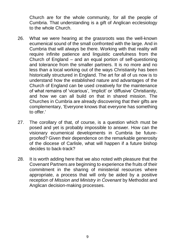Church are for the whole community, for all the people of Cumbria. That understanding is a gift of Anglican ecclesiology to the whole Church.

- 26. What we were hearing at the grassroots was the well-known ecumenical sound of the small confronted with the large. And in Cumbria that will always be there. Working with that reality will require infinite patience and linguistic carefulness from the Church of England – and an equal portion of self-questioning and tolerance from the smaller partners. It is no more and no less than a local working out of the ways Christianity has been historically structured in England. The art for all of us now is to understand how the established nature and advantages of the Church of England can be used creatively for the maintenance of what remains of 'vicarious', 'implicit' or 'diffusive' Christianity, and how we can all build on that in shared mission. The Churches in Cumbria are already discovering that their gifts are complementary, 'Everyone knows that everyone has something to offer.'
- 27. The corollary of that, of course, is a question which must be posed and yet is probably impossible to answer. How can the visionary ecumenical developments in Cumbria be futureproofed? Given their dependence on the remarkable generosity of the diocese of Carlisle, what will happen if a future bishop decides to back-track?
- 28. It is worth adding here that we also noted with pleasure that the Covenant Partners are beginning to experience the fruits of their commitment in the sharing of ministerial resources where appropriate, a process that will only be aided by a positive reception of *Mission and Ministry in Covenant* by Methodist and Anglican decision-making processes.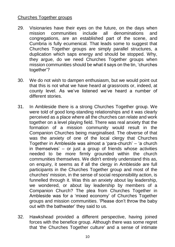#### Churches Together groups

- 29. Visionaries have their eyes on the future, on the days when mission communities include all denominations and congregations, are an established part of the scene, and Cumbria is fully ecumenical. That leads some to suggest that Churches Together groups are simply parallel structures, a duplication which saps energy and should be stopped. Why, they argue, do we need Churches Together groups when mission communities should be what it says on the tin, 'churches together'?
- 30. We do not wish to dampen enthusiasm, but we would point out that this is not what we have heard at grassroots or, indeed, at county level. As we've listened we've heard a number of different stories.
- 31. In Ambleside there is a strong Churches Together group. We were told of good long-standing relationships and it was clearly perceived as a place where all the churches can relate and work together on a level playing field. There was real anxiety that the formation of a mission community would result in the Companion Churches being marginalised. The obverse of that was the anxiety of one of the local clergy that Churches Together in Ambleside was almost a 'para-church' – 'a church in themselves' – or just a group of friends whose activities needed to be more firmly grounded within the church communities themselves. We didn't entirely understand this as, on enquiry, it seems as if all the clergy in Ambleside are full participants in the Churches Together group and most of the churches' mission, in the sense of social responsibility action, is funnelled through it. Was this an anxiety about lay leadership, we wondered, or about lay leadership by members of a Companion Church? The plea from Churches Together in Ambleside was for a 'mixed economy' of Churches Together groups and mission communities. 'Please don't throw the baby out with the bathwater' they said to us.
- 32. Hawkshead provided a different perspective, having joined forces with the benefice group. Although there was some regret that 'the Churches Together culture' and a sense of intimate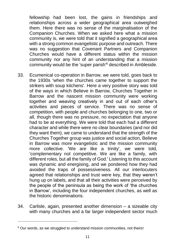fellowship had been lost, the gains in friendships and relationships across a wider geographical area outweighed them. Here there was no sense of the marginalisation of the Companion Churches. When we asked here what a mission community is, we were told that it signified a geographical area with a strong common evangelistic purpose and outreach. There was no suggestion that Covenant Partners and Companion Churches would have a different status within the mission community nor any hint of an understanding that a mission community would be the 'super parish'<sup>6</sup> described in Ambleside.

- 33. Ecumenical co-operation in Barrow, we were told, goes back to the 1930s 'when the churches came together to support the strikers with soup kitchens'. Here a very positive story was told of the ways in which Believe in Barrow, Churches Together in Barrow and the nascent mission community were working together and weaving creatively in and out of each other's activities and pieces of service. There was no sense of competition, with people and churches belonging to one, two or all, though there was no pressure, no expectation that anyone had to be at everything. We were told that each had a different character and while there were no clear boundaries (and nor did they want them), we came to understand that the strength of the Churches Together group was justice and social action, Believe in Barrow was more evangelistic and the mission community more collective. 'We are like a trinity', we were told, 'complementary not competitive. We are like a family, with different roles, but all the family of God.' Listening to this account was dynamic and energising, and we pondered how they had avoided the traps of possessiveness. All our interlocuters agreed that relationships and trust were key, that they weren't hung up on labels, and that all their activities were perceived by the people of the peninsula as being the work of 'the churches in Barrow', including the four independent churches, as well as the historic denominations.
- 34. Carlisle, again, presented another dimension a sizeable city with many churches and a far larger independent sector much

<sup>&</sup>lt;sup>6</sup> Our words, as we struggled to understand mission communities, not theirs!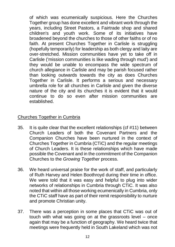of which was ecumenically suspicious. Here the Churches Together group has done excellent and vibrant work through the years, including Street Pastors, a Fairtrade shop and shared children's and youth work. Some of its initiatives have broadened beyond the churches to those of other faiths or of no faith. At present Churches Together in Carlisle is struggling (hopefully temporarily) for leadership as both clergy and laity are over-stretched. Mission communities have yet to take off in Carlisle ('mission communities is like wading through mud') and they would be unable to encompass the wide spectrum of church allegiance in Carlisle and may be parish focused rather than looking outwards towards the city as does Churches Together in Carlisle. It performs a serious and necessary umbrella role for all churches in Carlisle and given the diverse nature of the city and its churches it is evident that it would continue to do so even after mission communities are established.

#### Churches Together in Cumbria

- 35. It is quite clear that the excellent relationships (cf #11) between Church Leaders of both the Covenant Partners and the Companion Churches have been nurtured in the context of Churches Together in Cumbria (CTiC) and the regular meetings of Church Leaders. It is these relationships which have made possible the Covenant and in the commitment of the Companion Churches to the *Growing Together* process.
- 36. We heard universal praise for the work of staff, and particularly of Ruth Harvey and Helen Boothroyd during their time in office. We were told that it was easy and helpful to plug into wider networks of relationships in Cumbria through CTiC. It was also noted that within all those working ecumenically in Cumbria, only the CTiC staff have as part of their remit responsibility to nurture and promote Christian unity.
- 37. There was a perception in some places that CTiC was out of touch with what was going on at the grassroots level – once again that may be a function of geography. We heard twice that meetings were frequently held in South Lakeland which was not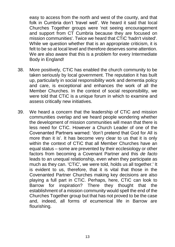easy to access from the north and west of the county, and that folk in Cumbria don't 'travel well'. We heard it said that local Churches Together groups were 'not seeing encouragement and support from CT Cumbria because they are focused on mission communities'. Twice we heard that CTiC 'hadn't visited'. While we question whether that is an appropriate criticism, it is felt to be so at local level and therefore deserves some attention. We are also aware that this is a problem for every Intermediate Body in England!

- 38. More positively, CTiC has enabled the church community to be taken seriously by local government. The reputation it has built up, particularly in social responsibility work and dementia policy and care, is exceptional and enhances the work of all the Member Churches. In the context of social responsibility, we were told that CTiC is a unique forum in which to examine and assess critically new initiatives.
- 39. We heard a concern that the leadership of CTiC and mission communities overlap and we heard people wondering whether the development of mission communities will mean that there is less need for CTiC. However a Church Leader of one of the Covenanted Partners warned: 'don't pretend that God for All is more than it is'. It has become very clear to us that it is only within the context of CTiC that all Member Churches have an equal status – some are prevented by their ecclesiology or other factors from becoming a Covenant Partner and this *de facto*  leads to an unequal relationship, even when they participate as much as they can. 'CTiC', we were told, holds us all together.' It is evident to us, therefore, that it is vital that those in the Covenanted Partner Churches making key decisions are also playing a full part in CTiC. Perhaps, here, CTiC can look to Barrow for inspiration? There they thought that the establishment of a mission community would spell the end of the Churches Together group but that has not proved to be the case and, indeed, all forms of ecumenical life in Barrow are flourishing.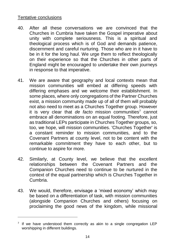#### Tentative conclusions

- 40. After all these conversations we are convinced that the Churches in Cumbria have taken the Gospel imperative about unity with complete seriousness. This is a spiritual and theological process which is of God and demands patience, discernment and careful nurturing. Those who are in it have to be in it for the long haul. We urge them to reflect theologically on their experience so that the Churches in other parts of England might be encouraged to undertake their own journeys in response to that imperative.
- 41. We are aware that geography and local contexts mean that mission communities will embed at differing speeds with differing emphases and we welcome their establishment. In some places, where only congregations of the Partner Churches exist, a mission community made up of all of them will probably not also need to meet as a Churches Together group. However it is very clear that *de facto* mission communities<sup>7</sup> cannot embrace all denominations on an equal footing. Therefore, just as traditional LEPs participate in Churches Together groups, so, too, we hope, will mission communities. 'Churches Together' is a constant reminder to mission communities, and to the Covenant Partners at county level, not to be content with the remarkable commitment they have to each other, but to continue to aspire for more.
- 42. Similarly, at County level, we believe that the excellent relationships between the Covenant Partners and the Companion Churches need to continue to be nurtured in the context of the equal partnership which is Churches Together in Cumbria.
- 43. We would, therefore, envisage a 'mixed economy' which may be based on a differentiation of task, with mission communities (alongside Companion Churches and others) focusing on proclaiming the good news of the kingdom, while missional

 $7$  If we have understood them correctly as akin to a single congregation LEP worshipping in different buildings.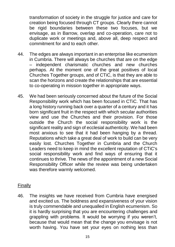transformation of society in the struggle for justice and care for creation being focused through CT groups. Clearly there cannot be rigid boundaries between these two focuses, but we envisage, as in Barrow, overlap and co-operation, care not to duplicate work or meetings and, above all, deep respect and commitment for and to each other.

- 44. The edges are always important in an enterprise like ecumenism in Cumbria. There will always be churches that are on the edge – independent charismatic churches and new churches perhaps. At the moment one of the great positives of local Churches Together groups, and of CTiC, is that they are able to scan the horizons and create the relationships that are essential to co-operating in mission together in appropriate ways.
- 45. We had been seriously concerned about the future of the Social Responsibility work which has been focused in CTiC. That has a long history running back over a quarter of a century and it has born significant fruit in the respect with which secular authorities view and use the Churches and their provision. For those outside the Church the social responsibility work is the significant reality and sign of ecclesial authenticity. We had been most anxious to see that it had been hanging by a thread. Reputations which take a great deal of work to build can be very easily lost. Churches Together in Cumbria and the Church Leaders need to keep in mind the excellent reputation of CTiC's social responsibility work and find ways of ensuring that it continues to thrive. The news of the appointment of a new Social Responsibility Officer while the review was being undertaken was therefore warmly welcomed.

#### Finally

46. The insights we have received from Cumbria have energised and excited us. The boldness and expansiveness of your vision is truly commendable and unequalled in English ecumenism. So it is hardly surprising that you are encountering challenges and grappling with problems. It would be worrying if you weren't, because that would mean that the change you envisage is not worth having. You have set your eyes on nothing less than